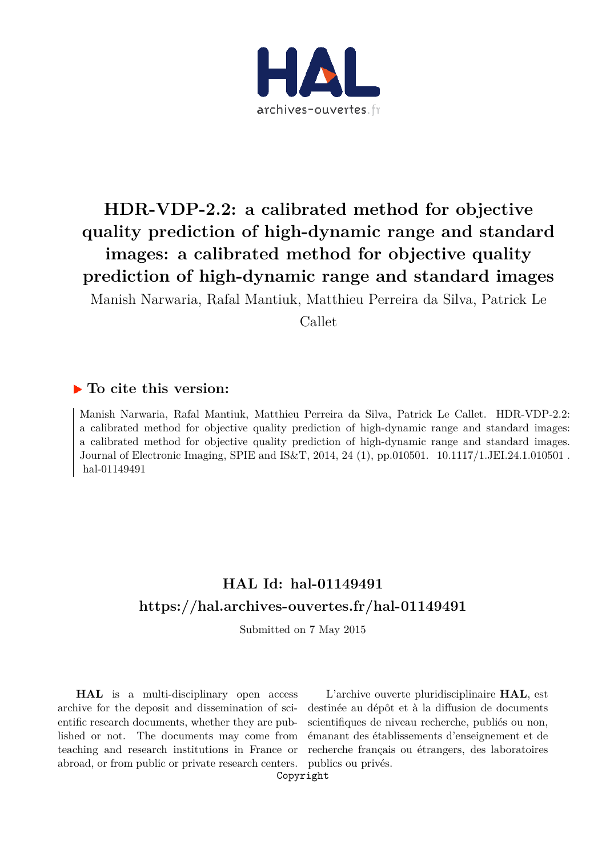

# **HDR-VDP-2.2: a calibrated method for objective quality prediction of high-dynamic range and standard images: a calibrated method for objective quality prediction of high-dynamic range and standard images**

Manish Narwaria, Rafal Mantiuk, Matthieu Perreira da Silva, Patrick Le Callet

#### **To cite this version:**

Manish Narwaria, Rafal Mantiuk, Matthieu Perreira da Silva, Patrick Le Callet. HDR-VDP-2.2: a calibrated method for objective quality prediction of high-dynamic range and standard images: a calibrated method for objective quality prediction of high-dynamic range and standard images. Journal of Electronic Imaging, SPIE and IS&T, 2014, 24 (1), pp.010501. 10.1117/1.JEI.24.1.010501. hal-01149491

### **HAL Id: hal-01149491 https://hal.archives-ouvertes.fr/hal-01149491**

Submitted on 7 May 2015

**HAL** is a multi-disciplinary open access archive for the deposit and dissemination of scientific research documents, whether they are published or not. The documents may come from teaching and research institutions in France or abroad, or from public or private research centers.

L'archive ouverte pluridisciplinaire **HAL**, est destinée au dépôt et à la diffusion de documents scientifiques de niveau recherche, publiés ou non, émanant des établissements d'enseignement et de recherche français ou étrangers, des laboratoires publics ou privés.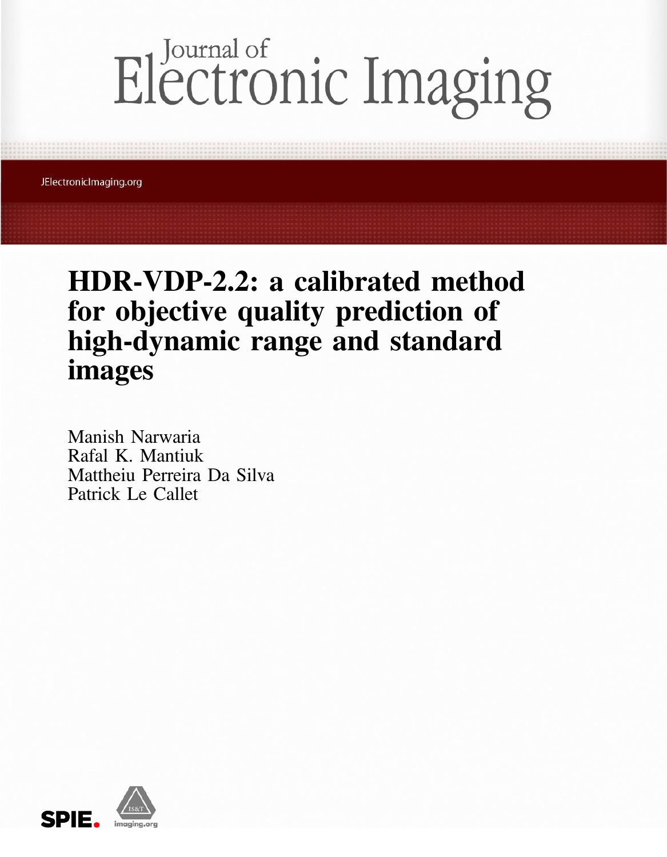# Electronic Imaging

JElectronicImaging.org

# HDR-VDP-2.2: a calibrated method for objective quality prediction of high-dynamic range and standard images

Manish Narwaria Rafal K. Mantiuk Mattheiu Perreira Da Silva Patrick Le Callet

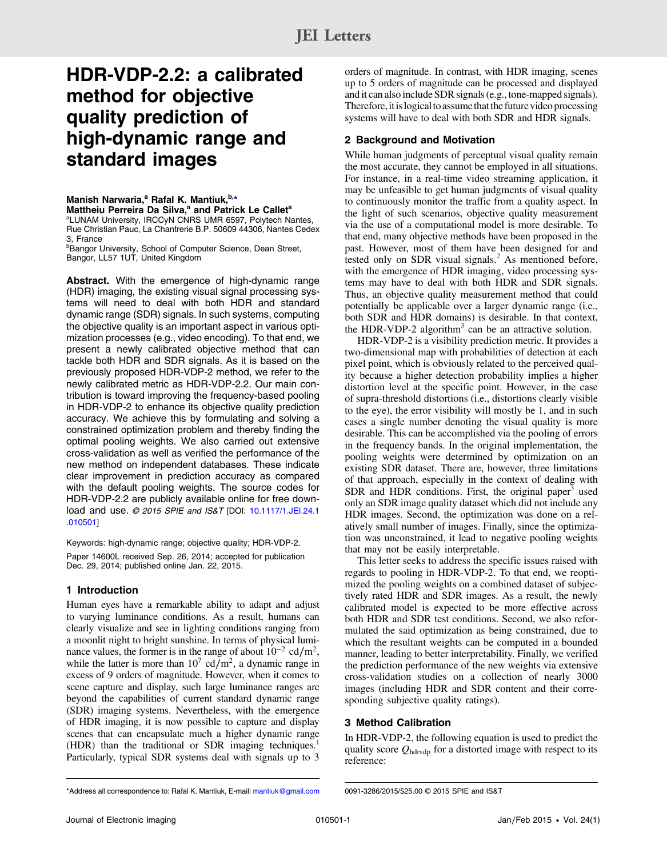## HDR-VDP-2.2: a calibrated method for objective quality prediction of high-dynamic range and standard images

#### Manish Narwaria,<sup>a</sup> Rafal K. Mantiuk, b,\*

Mattheiu Perreira Da Silva,<sup>a</sup> and Patrick Le Callet<sup>a</sup>

<sup>a</sup>LUNAM University, IRCCyN CNRS UMR 6597, Polytech Nantes, Rue Christian Pauc, La Chantrerie B.P. 50609 44306, Nantes Cedex 3, France

**Bangor University, School of Computer Science, Dean Street,** Bangor, LL57 1UT, United Kingdom

Abstract. With the emergence of high-dynamic range (HDR) imaging, the existing visual signal processing systems will need to deal with both HDR and standard dynamic range (SDR) signals. In such systems, computing the objective quality is an important aspect in various optimization processes (e.g., video encoding). To that end, we present a newly calibrated objective method that can tackle both HDR and SDR signals. As it is based on the previously proposed HDR-VDP-2 method, we refer to the newly calibrated metric as HDR-VDP-2.2. Our main contribution is toward improving the frequency-based pooling in HDR-VDP-2 to enhance its objective quality prediction accuracy. We achieve this by formulating and solving a constrained optimization problem and thereby finding the optimal pooling weights. We also carried out extensive cross-validation as well as verified the performance of the new method on independent databases. These indicate clear improvement in prediction accuracy as compared with the default pooling weights. The source codes for HDR-VDP-2.2 are publicly available online for free download and use. @ 2015 SPIE and IS&T [DOI: 10.1117/1.JEI.24.1 .010501]

Keywords: high-dynamic range; objective quality; HDR-VDP-2. Paper 14600L received Sep. 26, 2014; accepted for publication Dec. 29, 2014; published online Jan. 22, 2015.

#### 1 Introduction

Human eyes have a remarkable ability to adapt and adjust to varying luminance conditions. As a result, humans can clearly visualize and see in lighting conditions ranging from a moonlit night to bright sunshine. In terms of physical luminance values, the former is in the range of about  $10^{-2}$  cd/m<sup>2</sup>, while the latter is more than  $10^7 \text{ cd/m}^2$ , a dynamic range in excess of 9 orders of magnitude. However, when it comes to scene capture and display, such large luminance ranges are beyond the capabilities of current standard dynamic range (SDR) imaging systems. Nevertheless, with the emergence of HDR imaging, it is now possible to capture and display scenes that can encapsulate much a higher dynamic range  $(HDR)$  than the traditional or SDR imaging techniques.<sup>1</sup> Particularly, typical SDR systems deal with signals up to 3

orders of magnitude. In contrast, with HDR imaging, scenes up to 5 orders of magnitude can be processed and displayed and it can also include SDR signals (e.g., tone-mapped signals). Therefore, it is logical to assume that the future video processing systems will have to deal with both SDR and HDR signals.

#### 2 Background and Motivation

While human judgments of perceptual visual quality remain the most accurate, they cannot be employed in all situations. For instance, in a real-time video streaming application, it may be unfeasible to get human judgments of visual quality to continuously monitor the traffic from a quality aspect. In the light of such scenarios, objective quality measurement via the use of a computational model is more desirable. To that end, many objective methods have been proposed in the past. However, most of them have been designed for and tested only on SDR visual signals. $<sup>2</sup>$  As mentioned before,</sup> with the emergence of HDR imaging, video processing systems may have to deal with both HDR and SDR signals. Thus, an objective quality measurement method that could potentially be applicable over a larger dynamic range (i.e., both SDR and HDR domains) is desirable. In that context, the HDR-VDP-2 algorithm<sup>3</sup> can be an attractive solution.

HDR-VDP-2 is a visibility prediction metric. It provides a two-dimensional map with probabilities of detection at each pixel point, which is obviously related to the perceived quality because a higher detection probability implies a higher distortion level at the specific point. However, in the case of supra-threshold distortions (i.e., distortions clearly visible to the eye), the error visibility will mostly be 1, and in such cases a single number denoting the visual quality is more desirable. This can be accomplished via the pooling of errors in the frequency bands. In the original implementation, the pooling weights were determined by optimization on an existing SDR dataset. There are, however, three limitations of that approach, especially in the context of dealing with SDR and HDR conditions. First, the original paper $3$  used only an SDR image quality dataset which did not include any HDR images. Second, the optimization was done on a relatively small number of images. Finally, since the optimization was unconstrained, it lead to negative pooling weights that may not be easily interpretable.

This letter seeks to address the specific issues raised with regards to pooling in HDR-VDP-2. To that end, we reoptimized the pooling weights on a combined dataset of subjectively rated HDR and SDR images. As a result, the newly calibrated model is expected to be more effective across both HDR and SDR test conditions. Second, we also reformulated the said optimization as being constrained, due to which the resultant weights can be computed in a bounded manner, leading to better interpretability. Finally, we verified the prediction performance of the new weights via extensive cross-validation studies on a collection of nearly 3000 images (including HDR and SDR content and their corresponding subjective quality ratings).

#### 3 Method Calibration

In HDR-VDP-2, the following equation is used to predict the quality score  $Q_{\text{hdrvdp}}$  for a distorted image with respect to its reference:

<sup>\*</sup>Address all correspondence to: Rafal K. Mantiuk, E-mail: mantiuk@gmail.com 0091-3286/2015/\$25.00 © 2015 SPIE and IS&T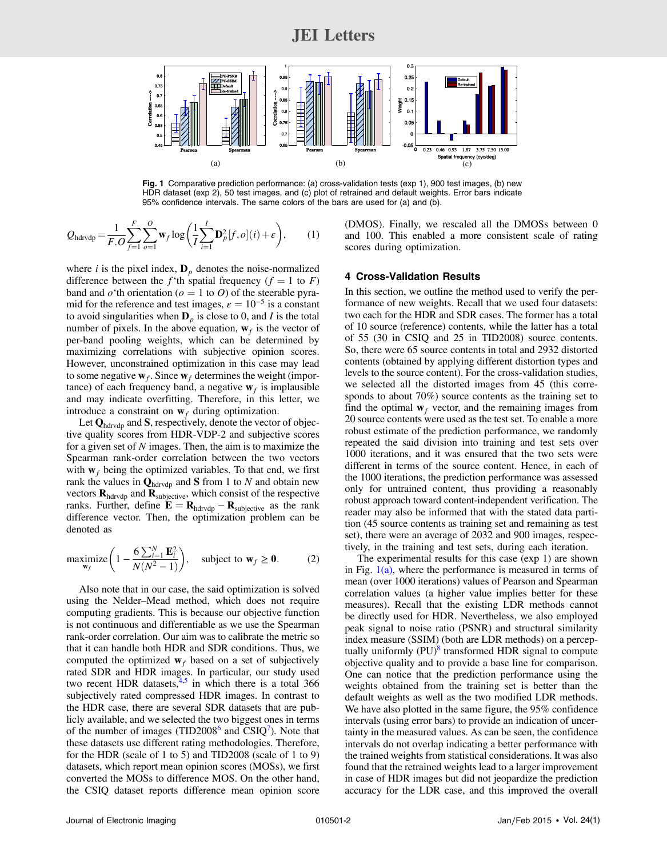#### JEI Letters



Fig. 1 Comparative prediction performance: (a) cross-validation tests (exp 1), 900 test images, (b) new HDR dataset (exp 2), 50 test images, and (c) plot of retrained and default weights. Error bars indicate 95% confidence intervals. The same colors of the bars are used for (a) and (b).

$$
Q_{\text{hdrvdp}} = \frac{1}{F.O} \sum_{f=1}^{F} \sum_{o=1}^{O} \mathbf{w}_f \log \left( \frac{1}{I} \sum_{i=1}^{I} \mathbf{D}_p^2[f,o](i) + \epsilon \right), \qquad (1)
$$

where i is the pixel index,  $\mathbf{D}_p$  denotes the noise-normalized difference between the f'th spatial frequency ( $f = 1$  to F) band and  $o^{\prime}$ th orientation ( $o = 1$  to O) of the steerable pyramid for the reference and test images,  $\varepsilon = 10^{-5}$  is a constant to avoid singularities when  $\mathbf{D}_p$  is close to 0, and I is the total number of pixels. In the above equation,  $w_f$  is the vector of per-band pooling weights, which can be determined by maximizing correlations with subjective opinion scores. However, unconstrained optimization in this case may lead to some negative  $w_f$ . Since  $w_f$  determines the weight (importance) of each frequency band, a negative  $w_f$  is implausible and may indicate overfitting. Therefore, in this letter, we introduce a constraint on  $w_f$  during optimization.

Let  $\mathbf{Q}_{\text{hdrvdp}}$  and S, respectively, denote the vector of objective quality scores from HDR-VDP-2 and subjective scores for a given set of  $N$  images. Then, the aim is to maximize the Spearman rank-order correlation between the two vectors with  $w_f$  being the optimized variables. To that end, we first rank the values in  $\mathbf{Q}_{\text{hdrvdp}}$  and S from 1 to N and obtain new vectors  $\mathbf{R}_{\text{hdrvdp}}$  and  $\mathbf{R}_{\text{subjective}}$ , which consist of the respective ranks. Further, define  $\mathbf{\tilde{E}} = \mathbf{R}_{\text{hdrvdp}} - \mathbf{R}_{\text{subjective}}$  as the rank difference vector. Then, the optimization problem can be denoted as

$$
\underset{\mathbf{w}_f}{\text{maximize}} \left( 1 - \frac{6 \sum_{i=1}^{N} \mathbf{E}_i^2}{N(N^2 - 1)} \right), \quad \text{subject to } \mathbf{w}_f \ge \mathbf{0}. \tag{2}
$$

Also note that in our case, the said optimization is solved using the Nelder–Mead method, which does not require computing gradients. This is because our objective function is not continuous and differentiable as we use the Spearman rank-order correlation. Our aim was to calibrate the metric so that it can handle both HDR and SDR conditions. Thus, we computed the optimized  $w_f$  based on a set of subjectively rated SDR and HDR images. In particular, our study used two recent HDR datasets, $4.5$  in which there is a total 366 subjectively rated compressed HDR images. In contrast to the HDR case, there are several SDR datasets that are publicly available, and we selected the two biggest ones in terms of the number of images  $(TID2008<sup>6</sup>$  and  $CSIQ<sup>7</sup>$ ). Note that these datasets use different rating methodologies. Therefore, for the HDR (scale of 1 to 5) and TID2008 (scale of 1 to 9) datasets, which report mean opinion scores (MOSs), we first converted the MOSs to difference MOS. On the other hand, the CSIQ dataset reports difference mean opinion score (DMOS). Finally, we rescaled all the DMOSs between 0 and 100. This enabled a more consistent scale of rating scores during optimization.

#### 4 Cross-Validation Results

In this section, we outline the method used to verify the performance of new weights. Recall that we used four datasets: two each for the HDR and SDR cases. The former has a total of 10 source (reference) contents, while the latter has a total of 55 (30 in CSIQ and 25 in TID2008) source contents. So, there were 65 source contents in total and 2932 distorted contents (obtained by applying different distortion types and levels to the source content). For the cross-validation studies, we selected all the distorted images from 45 (this corresponds to about 70%) source contents as the training set to find the optimal  $w_f$  vector, and the remaining images from 20 source contents were used as the test set. To enable a more robust estimate of the prediction performance, we randomly repeated the said division into training and test sets over 1000 iterations, and it was ensured that the two sets were different in terms of the source content. Hence, in each of the 1000 iterations, the prediction performance was assessed only for untrained content, thus providing a reasonably robust approach toward content-independent verification. The reader may also be informed that with the stated data partition (45 source contents as training set and remaining as test set), there were an average of 2032 and 900 images, respectively, in the training and test sets, during each iteration.

The experimental results for this case (exp 1) are shown in Fig.  $1(a)$ , where the performance is measured in terms of mean (over 1000 iterations) values of Pearson and Spearman correlation values (a higher value implies better for these measures). Recall that the existing LDR methods cannot be directly used for HDR. Nevertheless, we also employed peak signal to noise ratio (PSNR) and structural similarity index measure (SSIM) (both are LDR methods) on a perceptually uniformly (PU)<sup>8</sup> transformed HDR signal to compute objective quality and to provide a base line for comparison. One can notice that the prediction performance using the weights obtained from the training set is better than the default weights as well as the two modified LDR methods. We have also plotted in the same figure, the 95% confidence intervals (using error bars) to provide an indication of uncertainty in the measured values. As can be seen, the confidence intervals do not overlap indicating a better performance with the trained weights from statistical considerations. It was also found that the retrained weights lead to a larger improvement in case of HDR images but did not jeopardize the prediction accuracy for the LDR case, and this improved the overall